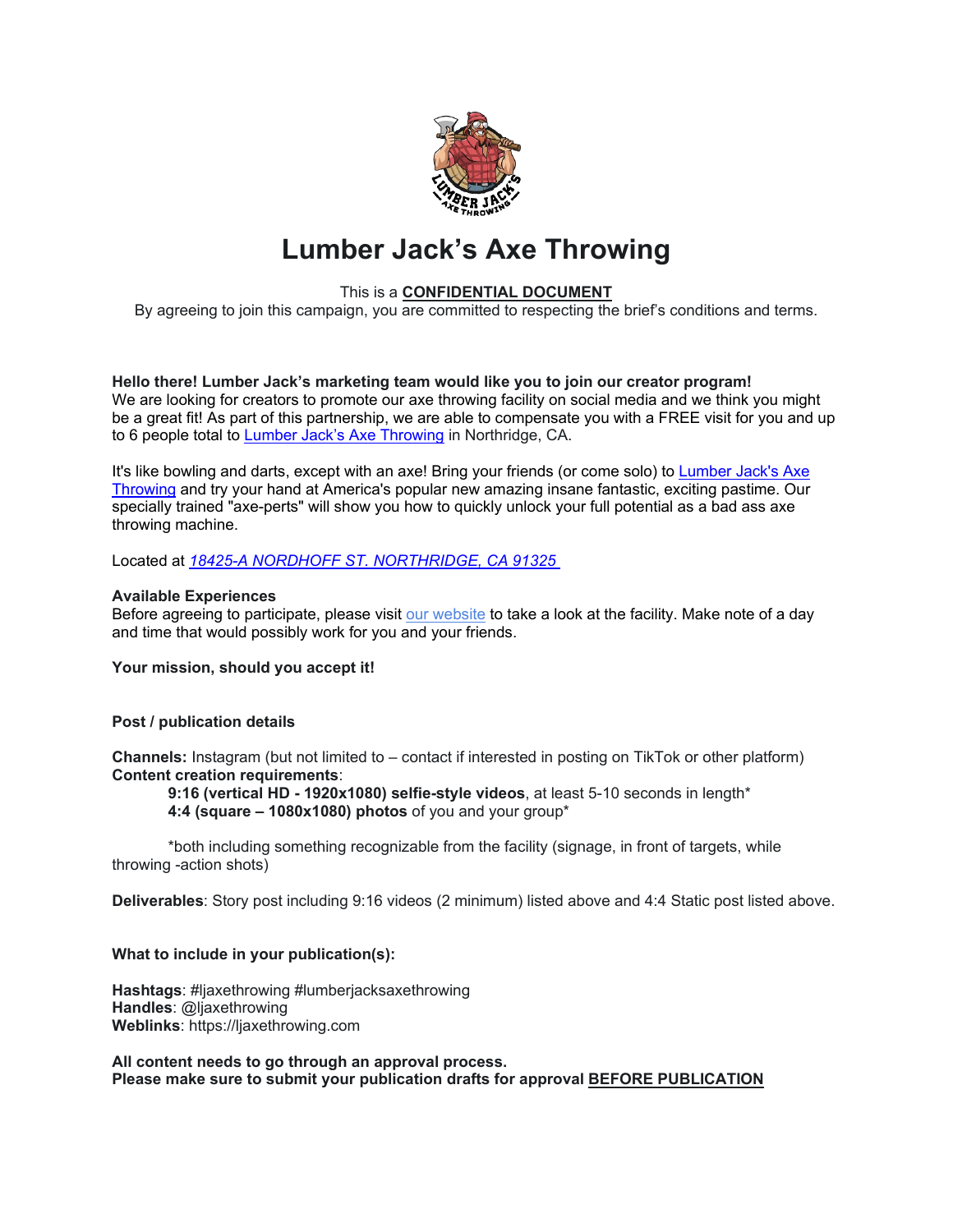

# **Lumber Jack's Axe Throwing**

# This is a **CONFIDENTIAL DOCUMENT**

By agreeing to join this campaign, you are committed to respecting the brief's conditions and terms.

**Hello there! Lumber Jack's marketing team would like you to join our creator program!** We are looking for creators to promote our axe throwing facility on social media and we think you might be a great fit! As part of this partnership, we are able to compensate you with a FREE visit for you and up to 6 people total to [Lumber Jack's Axe Throwing](https://ljaxethrowing.com/) in Northridge, CA.

It's like bowling and darts, except with an axe! Bring your friends (or come solo) to [Lumber Jack's Axe](https://ljaxethrowing.com/)  [Throwing](https://ljaxethrowing.com/) and try your hand at America's popular new amazing insane fantastic, exciting pastime. Our specially trained "axe-perts" will show you how to quickly unlock your full potential as a bad ass axe throwing machine.

Located at *[18425-A NORDHOFF ST. NORTHRIDGE, CA 91325](https://g.page/ljaxethrowing?share)*

# **Available Experiences**

Before agreeing to participate, please visit [our website](https://ljaxethrowing.com/) to take a look at the facility. Make note of a day and time that would possibly work for you and your friends.

**Your mission, should you accept it!**

# **Post / publication details**

**Channels:** Instagram (but not limited to – contact if interested in posting on TikTok or other platform) **Content creation requirements**:

**9:16 (vertical HD - 1920x1080) selfie-style videos**, at least 5-10 seconds in length\* **4:4 (square – 1080x1080) photos** of you and your group\*

\*both including something recognizable from the facility (signage, in front of targets, while throwing -action shots)

**Deliverables**: Story post including 9:16 videos (2 minimum) listed above and 4:4 Static post listed above.

# **What to include in your publication(s):**

**Hashtags**: #ljaxethrowing #lumberjacksaxethrowing **Handles**: @ljaxethrowing **Weblinks**: https://ljaxethrowing.com

**All content needs to go through an approval process. Please make sure to submit your publication drafts for approval BEFORE PUBLICATION**